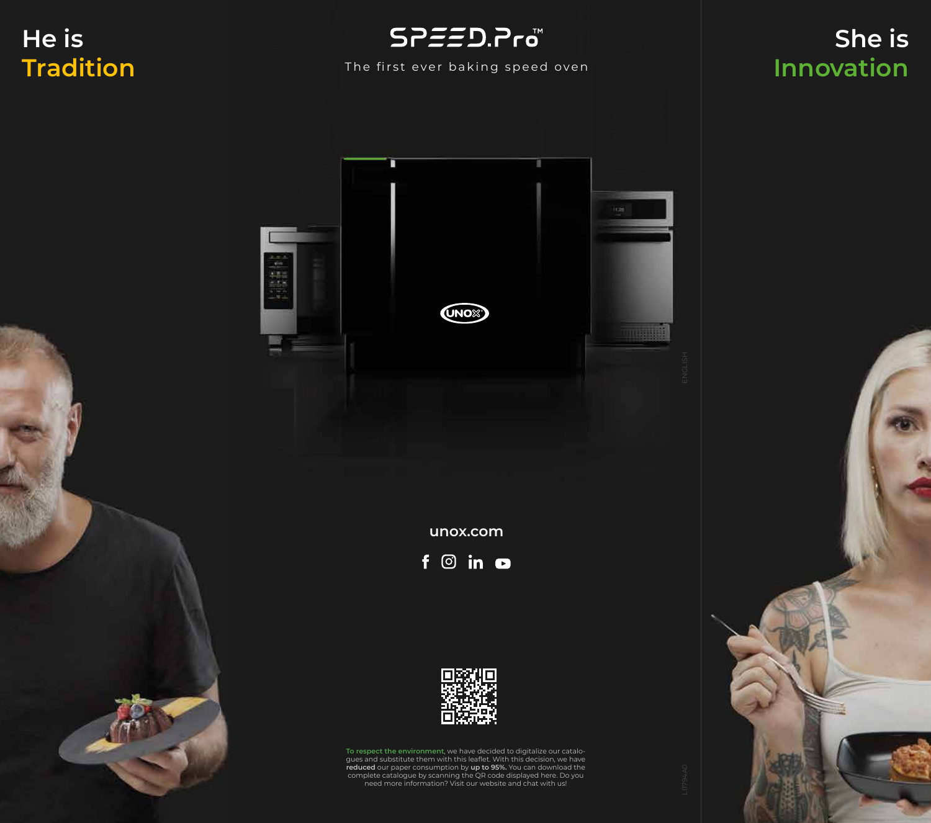## **He is Tradition**



#### The first ever baking speed oven

## **She is Innovation**



**unox.com**





**To respect the environment**, we have decided to digitalize our catalogues and substitute them with this leaflet. With this decision, we have **reduced** our paper consumption by **up to 95%.** You can download the complete catalogue by scanning the QR code displayed here. Do you need more information? Visit our website and chat with us!